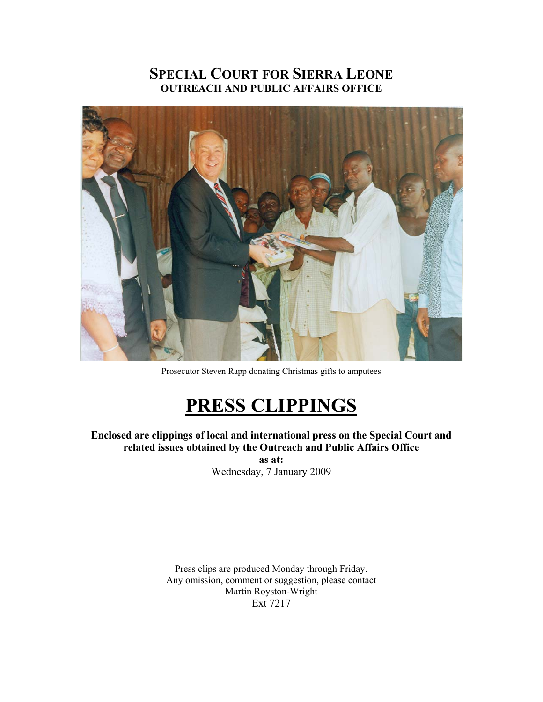## **SPECIAL COURT FOR SIERRA LEONE OUTREACH AND PUBLIC AFFAIRS OFFICE**



Prosecutor Steven Rapp donating Christmas gifts to amputees

## **PRESS CLIPPINGS**

**Enclosed are clippings of local and international press on the Special Court and related issues obtained by the Outreach and Public Affairs Office** 

**as at:**  Wednesday, 7 January 2009

Press clips are produced Monday through Friday. Any omission, comment or suggestion, please contact Martin Royston-Wright Ext 7217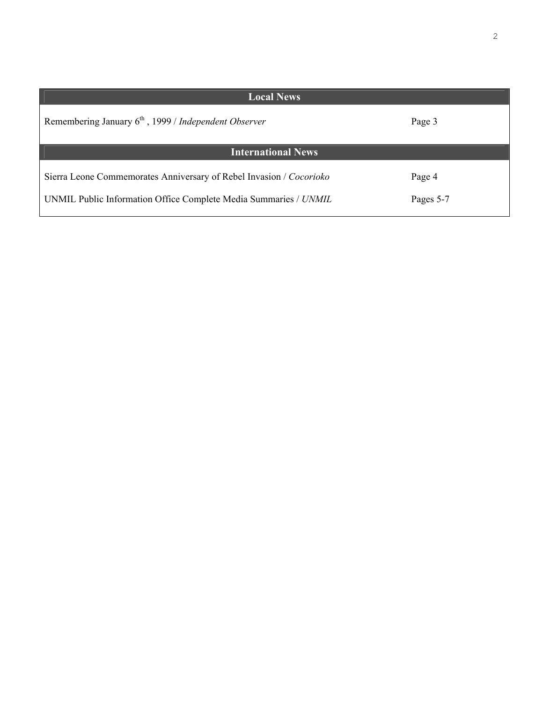| I |  |
|---|--|
|   |  |

| Local News                                                          |           |  |  |
|---------------------------------------------------------------------|-----------|--|--|
| Remembering January $6th$ , 1999 / Independent Observer             | Page 3    |  |  |
| <b>International News</b>                                           |           |  |  |
| Sierra Leone Commemorates Anniversary of Rebel Invasion / Cocorioko | Page 4    |  |  |
| UNMIL Public Information Office Complete Media Summaries / UNMIL    | Pages 5-7 |  |  |

 $\mathbf l$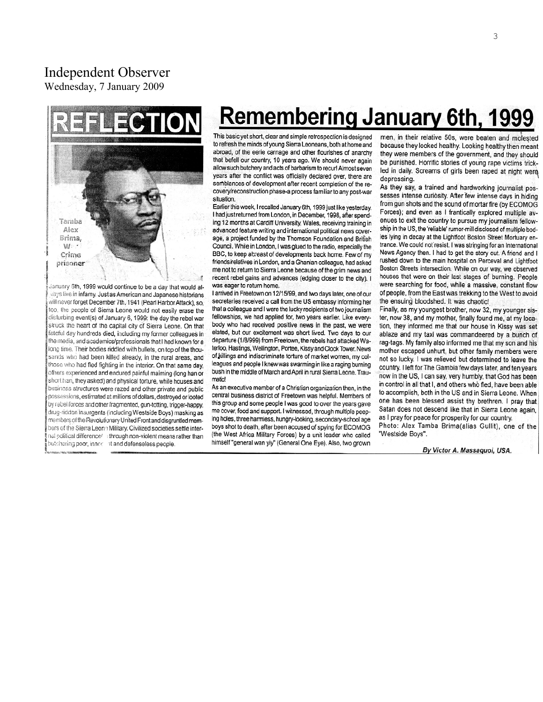## Independent Observer

Wednesday, 7 January 2009



January 6th, 1999 would continue to be a day that would alvays live in infamy. Just as American and Japanese historians will never forget December 7th, 1941 (Pearl Harbor Attack), so, too, the people of Sierra Leone would not easily erase the disturbing event(s) of January 6, 1999: the day the rebel war struck the heart of the capital city of Sierra Leone. On that fateful day hundreds died, including my former colleagues in the media, and academics/professionals that I had known for a long time. Their bodies riddled with bullets, on top of the thousands who had been killed already, in the rural areas, and those who had fled fighting in the interior. On that same day, others experienced and endured painful maiming (long han or short han, they asked) and physical torture, while houses and business structures were razed and other private and public possessions, estimated at millions of dollars, destroyed or looted by rebel forces and other fragmented, gun-totting, trigger-happy, drug-ridden insurgents (including Westside Boys) masking as members of the Revolutionary United Front and disgruntled members of the Sierra Leone Military. Civilized societies settle internal political difference/ through non-violent means rather than butchering poor, innoc at and defenseless people.

# **Remembering January 6th, 1999**

This basic yet short, clear and simple retrospection is designed to refresh the minds of young Sierra Leoneans, both at home and abroad, of the eerie carnage and other flourishes of anarchy that befell our country, 10 years ago. We should never again allow such butchery and acts of barbarism to recur! Almost seven years after the conflict was officially declared over, there are semblances of development after recent completion of the recovery/reconstruction phase-a process familiar to any post-war situation.

Earlier this week, I recalled January 6th, 1999 just like yesterday. I had just returned from London, in December, 1998, after spending 12 months at Cardiff University, Wales, receiving training in advanced feature writing and international political news coverage, a project funded by the Thomson Foundation and British Council. While in London, I was glued to the radio, especially the BBC, to keep abreast of developments back home. Few of my friends/relatives in London, and a Ghanian colleague, had asked me not to return to Sierra Leone because of the grim news and recent rebel gains and advances (edging closer to the city). I was eager to return home.

I arrived in Freetown on 12/15/99, and two days later, one of our secretaries received a call from the US embassy informing her that a colleague and I were the lucky recipients of two journalism fellowships, we had applied for, two years earlier. Like everybody who had received positive news in the past, we were elated, but our excitement was short lived. Two days to our departure (1/8/999) from Freetown, the rebels had attacked Waterloo, Hastings, Wellington, Portee, Kissy and Clock Tower. News of killings and indiscriminate torture of market women, my colleagues and people I knew was swarming in like a raging burning bush in the middle of March and April in rural Sierra Leone. Traumatic!

As an executive member of a Christian organization then, in the central business district of Freetown was helpful. Members of this group and some people I was good to over the years gave me cover, food and support. I witnessed, through multiple peeping holes, three harmless, hungry-looking, secondary-school age boys shot to death, after been accused of spying for ECOMOG (the West Africa Military Forces) by a unit leader who called himself "general wan yiy" (General One Eye). Also, two grown men, in their relative 50s, were beaten and molested because they looked healthy. Looking healthy then meant they were members of the government, and they should be punished. Horrific stories of young rape victims trickled in daily. Screams of girls been raped at night were. depressing.

As they say, a trained and hardworking journalist possesses intense curiosity. After few intense days in hiding from gun shots and the sound of mortar fire (by ECOMOG Forces); and even as I frantically explored multiple avenues to exit the country to pursue my journalism fellowship in the US, the 'reliable' rumor-mill disclosed of multiple bodies lying in decay at the Lightfoot Boston Street Mortuary entrance. We could not resist. I was stringing for an International News Agency then. I had to get the story out. A friend and I rushed down to the main hospital on Perceval and Lightfoot Boston Streets intersection. While on our way, we observed houses that were on their last stages of burning. People were searching for food, while a massive, constant flow of people, from the East was trekking to the West to avoid the ensuing bloodshed. It was chaotic!

Finally, as my youngest brother, now 32, my younger sister, now 38, and my mother, finally found me, at my location, they informed me that our house in Kissy was set ablaze and my taxi was commandeered by a bunch of rag-tags. My family also informed me that my son and his mother escaped unhurt, but other family members were not so lucky. I was relieved but determined to leave the country. I left for The Gambia few days later, and ten years now in the US, I can say, very humbly, that God has been in control in all that I, and others who fled, have been able to accomplish, both in the US and in Sierra Leone. When one has been blessed assist thy brethren. I pray that Satan does not descend like that in Sierra Leone again, as I pray for peace for prosperity for our country. Photo: Alex Tamba Brima(alias Gullit), one of the "Westside Boys".

By Victor A. Massaquoi, USA.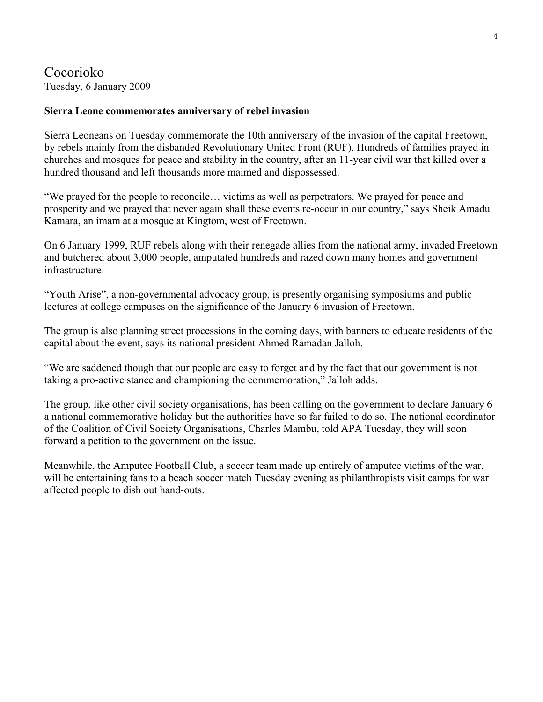#### Cocorioko Tuesday, 6 January 2009

#### **Sierra Leone commemorates anniversary of rebel invasion**

Sierra Leoneans on Tuesday commemorate the 10th anniversary of the invasion of the capital Freetown, by rebels mainly from the disbanded Revolutionary United Front (RUF). Hundreds of families prayed in churches and mosques for peace and stability in the country, after an 11-year civil war that killed over a hundred thousand and left thousands more maimed and dispossessed.

"We prayed for the people to reconcile… victims as well as perpetrators. We prayed for peace and prosperity and we prayed that never again shall these events re-occur in our country," says Sheik Amadu Kamara, an imam at a mosque at Kingtom, west of Freetown.

On 6 January 1999, RUF rebels along with their renegade allies from the national army, invaded Freetown and butchered about 3,000 people, amputated hundreds and razed down many homes and government infrastructure.

"Youth Arise", a non-governmental advocacy group, is presently organising symposiums and public lectures at college campuses on the significance of the January 6 invasion of Freetown.

The group is also planning street processions in the coming days, with banners to educate residents of the capital about the event, says its national president Ahmed Ramadan Jalloh.

"We are saddened though that our people are easy to forget and by the fact that our government is not taking a pro-active stance and championing the commemoration," Jalloh adds.

The group, like other civil society organisations, has been calling on the government to declare January 6 a national commemorative holiday but the authorities have so far failed to do so. The national coordinator of the Coalition of Civil Society Organisations, Charles Mambu, told APA Tuesday, they will soon forward a petition to the government on the issue.

Meanwhile, the Amputee Football Club, a soccer team made up entirely of amputee victims of the war, will be entertaining fans to a beach soccer match Tuesday evening as philanthropists visit camps for war affected people to dish out hand-outs.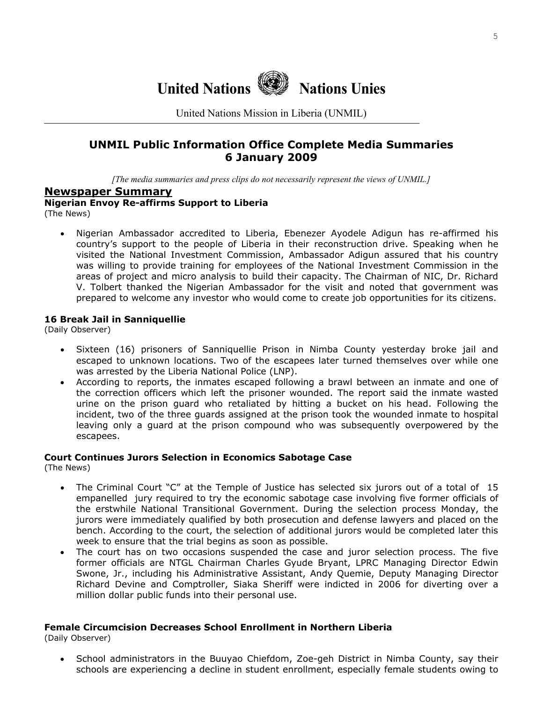

United Nations Mission in Liberia (UNMIL)

#### **UNMIL Public Information Office Complete Media Summaries 6 January 2009**

*[The media summaries and press clips do not necessarily represent the views of UNMIL.]*

#### **Newspaper Summary**

**Nigerian Envoy Re-affirms Support to Liberia**

(The News)

• Nigerian Ambassador accredited to Liberia, Ebenezer Ayodele Adigun has re-affirmed his country's support to the people of Liberia in their reconstruction drive. Speaking when he visited the National Investment Commission, Ambassador Adigun assured that his country was willing to provide training for employees of the National Investment Commission in the areas of project and micro analysis to build their capacity. The Chairman of NIC, Dr. Richard V. Tolbert thanked the Nigerian Ambassador for the visit and noted that government was prepared to welcome any investor who would come to create job opportunities for its citizens.

#### **16 Break Jail in Sanniquellie**

(Daily Observer)

- Sixteen (16) prisoners of Sanniquellie Prison in Nimba County yesterday broke jail and escaped to unknown locations. Two of the escapees later turned themselves over while one was arrested by the Liberia National Police (LNP).
- According to reports, the inmates escaped following a brawl between an inmate and one of the correction officers which left the prisoner wounded. The report said the inmate wasted urine on the prison guard who retaliated by hitting a bucket on his head. Following the incident, two of the three guards assigned at the prison took the wounded inmate to hospital leaving only a guard at the prison compound who was subsequently overpowered by the escapees.

#### **Court Continues Jurors Selection in Economics Sabotage Case**

(The News)

- The Criminal Court "C" at the Temple of Justice has selected six jurors out of a total of 15 empanelled jury required to try the economic sabotage case involving five former officials of the erstwhile National Transitional Government. During the selection process Monday, the jurors were immediately qualified by both prosecution and defense lawyers and placed on the bench. According to the court, the selection of additional jurors would be completed later this week to ensure that the trial begins as soon as possible.
- The court has on two occasions suspended the case and juror selection process. The five former officials are NTGL Chairman Charles Gyude Bryant, LPRC Managing Director Edwin Swone, Jr., including his Administrative Assistant, Andy Quemie, Deputy Managing Director Richard Devine and Comptroller, Siaka Sheriff were indicted in 2006 for diverting over a million dollar public funds into their personal use.

#### **Female Circumcision Decreases School Enrollment in Northern Liberia**

(Daily Observer)

• School administrators in the Buuyao Chiefdom, Zoe-geh District in Nimba County, say their schools are experiencing a decline in student enrollment, especially female students owing to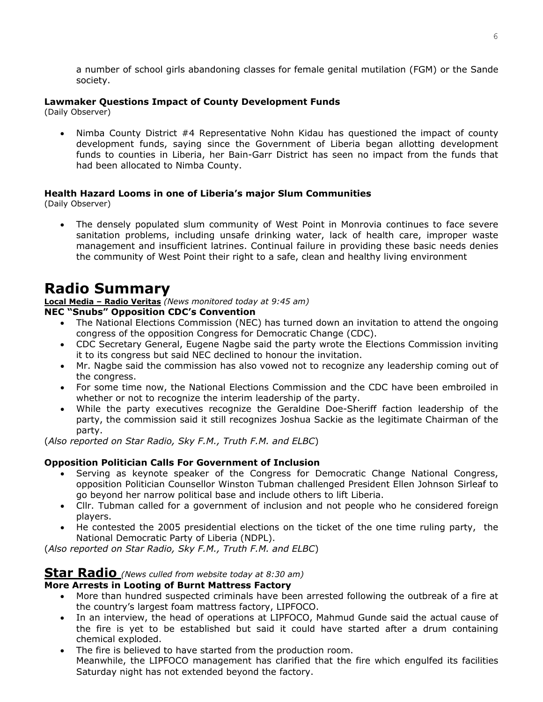a number of school girls abandoning classes for female genital mutilation (FGM) or the Sande society.

#### **Lawmaker Questions Impact of County Development Funds**

(Daily Observer)

• Nimba County District #4 Representative Nohn Kidau has questioned the impact of county development funds, saying since the Government of Liberia began allotting development funds to counties in Liberia, her Bain-Garr District has seen no impact from the funds that had been allocated to Nimba County.

#### **Health Hazard Looms in one of Liberia's major Slum Communities**

(Daily Observer)

• The densely populated slum community of West Point in Monrovia continues to face severe sanitation problems, including unsafe drinking water, lack of health care, improper waste management and insufficient latrines. Continual failure in providing these basic needs denies the community of West Point their right to a safe, clean and healthy living environment

## **Radio Summary**

**Local Media – Radio Veritas** *(News monitored today at 9:45 am)*

#### **NEC "Snubs" Opposition CDC's Convention**

- The National Elections Commission (NEC) has turned down an invitation to attend the ongoing congress of the opposition Congress for Democratic Change (CDC).
- CDC Secretary General, Eugene Nagbe said the party wrote the Elections Commission inviting it to its congress but said NEC declined to honour the invitation.
- Mr. Nagbe said the commission has also vowed not to recognize any leadership coming out of the congress.
- For some time now, the National Elections Commission and the CDC have been embroiled in whether or not to recognize the interim leadership of the party.
- While the party executives recognize the Geraldine Doe-Sheriff faction leadership of the party, the commission said it still recognizes Joshua Sackie as the legitimate Chairman of the party.

(*Also reported on Star Radio, Sky F.M., Truth F.M. and ELBC*)

#### **Opposition Politician Calls For Government of Inclusion**

- Serving as keynote speaker of the Congress for Democratic Change National Congress, opposition Politician Counsellor Winston Tubman challenged President Ellen Johnson Sirleaf to go beyond her narrow political base and include others to lift Liberia.
- Cllr. Tubman called for a government of inclusion and not people who he considered foreign players.
- He contested the 2005 presidential elections on the ticket of the one time ruling party, the National Democratic Party of Liberia (NDPL).

(*Also reported on Star Radio, Sky F.M., Truth F.M. and ELBC*)

#### **Star Radio** *(News culled from website today at 8:30 am)*

#### **More Arrests in Looting of Burnt Mattress Factory**

- More than hundred suspected criminals have been arrested following the outbreak of a fire at the country's largest foam mattress factory, LIPFOCO.
- In an interview, the head of operations at LIPFOCO, Mahmud Gunde said the actual cause of the fire is yet to be established but said it could have started after a drum containing chemical exploded.
- The fire is believed to have started from the production room. Meanwhile, the LIPFOCO management has clarified that the fire which engulfed its facilities Saturday night has not extended beyond the factory.